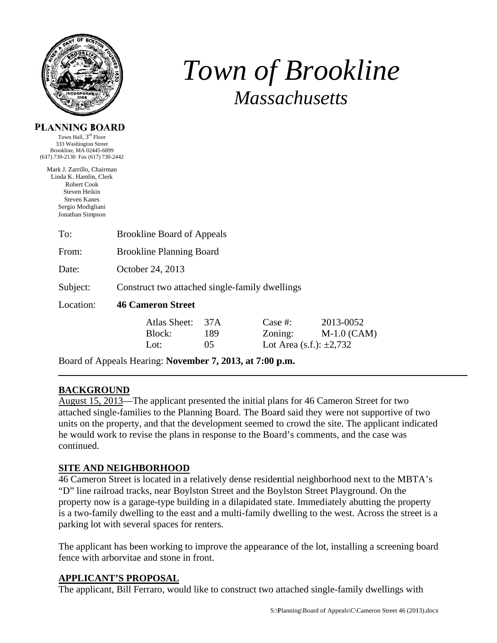

# *T Tow wn of f Bro ookli ine Massachusetts*

#### **PL LANNING B BOARD**

(61 17) 730-2130 Fax (6 17) 730-2442 Town Hall, 3<sup>rd</sup> Floor 333 Washington n Street Brookline, MA 02445-6899

Mark J. Zarrillo, C Chairman Linda K. Hamlin, Clerk Robert Cook Steven Heik kin Steven Kanes Sergio Modigliani Jonathan Simpson

| To:       | <b>Brookline Board of Appeals</b>              |  |                               |                                                     |                            |
|-----------|------------------------------------------------|--|-------------------------------|-----------------------------------------------------|----------------------------|
| From:     | <b>Brookline Planning Board</b>                |  |                               |                                                     |                            |
| Date:     | October 24, 2013                               |  |                               |                                                     |                            |
| Subject:  | Construct two attached single-family dwellings |  |                               |                                                     |                            |
| Location: | <b>46 Cameron Street</b>                       |  |                               |                                                     |                            |
|           | Atlas Sheet:<br>Block:<br>Lot:                 |  | 37 A<br>189<br>0 <sub>5</sub> | Case  #:<br>Zoning:<br>Lot Area (s.f.): $\pm 2,732$ | 2013-0052<br>$M-1.0$ (CAM) |
|           |                                                |  |                               |                                                     |                            |

Board of Appeals Hearing: November 7, 2013, at 7:00 p.m.

### **BACKG GROUND**

August 15, 2013—The applicant presented the initial plans for 46 Cameron Street for two attached single-families to the Planning Board. The Board said they were not supportive of two units on the property, and that the development seemed to crowd the site. The applicant indicated he would work to revise the plans in response to the Board's comments, and the case was continued d.

### **SITE AND NEIGHBORHOOD**

46 Cameron Street is located in a relatively dense residential neighborhood next to the MBTA's "D" line railroad tracks, near Boylston Street and the Boylston Street Playground. On the property now is a garage-type building in a dilapidated state. Immediately abutting the property is a two-family dwelling to the east and a multi-family dwelling to the west. Across the street is a parking lot with several spaces for renters.

The applicant has been working to improve the appearance of the lot, installing a screening board fence with arborvitae and stone in front.

### **APPLIC CANT'S PR ROPOSAL**

The applicant, Bill Ferraro, would like to construct two attached single-family dwellings with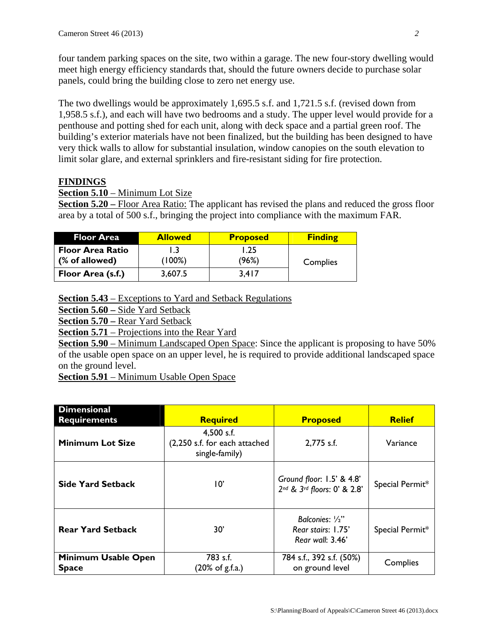four tandem parking spaces on the site, two within a garage. The new four-story dwelling would meet high energy efficiency standards that, should the future owners decide to purchase solar panels, could bring the building close to zero net energy use.

The two dwellings would be approximately 1,695.5 s.f. and 1,721.5 s.f. (revised down from 1,958.5 s.f.), and each will have two bedrooms and a study. The upper level would provide for a penthouse and potting shed for each unit, along with deck space and a partial green roof. The building's exterior materials have not been finalized, but the building has been designed to have very thick walls to allow for substantial insulation, window canopies on the south elevation to limit solar glare, and external sprinklers and fire-resistant siding for fire protection.

### **FINDINGS**

**Section 5.10** – Minimum Lot Size

**Section 5.20** – Floor Area Ratio: The applicant has revised the plans and reduced the gross floor area by a total of 500 s.f., bringing the project into compliance with the maximum FAR.

| <b>Floor Area</b>                                    | <b>Allowed</b> | <b>Proposed</b> | <b>Finding</b> |
|------------------------------------------------------|----------------|-----------------|----------------|
| <b>Floor Area Ratio</b><br>$\sqrt{ }$ (% of allowed) | (100%)         | 1.25<br>(96%)   | Complies       |
| Floor Area (s.f.)                                    | 3,607.5        | 3,417           |                |

**Section 5.43** – Exceptions to Yard and Setback Regulations

**Section 5.60 –** Side Yard Setback

**Section 5.70 –** Rear Yard Setback

**Section 5.71** – Projections into the Rear Yard

**Section 5.90** – Minimum Landscaped Open Space: Since the applicant is proposing to have 50% of the usable open space on an upper level, he is required to provide additional landscaped space on the ground level.

**Section 5.91** – Minimum Usable Open Space

| <b>Dimensional</b><br><b>Requirements</b> | <b>Required</b>                                               | <b>Proposed</b>                                           | <b>Relief</b>   |
|-------------------------------------------|---------------------------------------------------------------|-----------------------------------------------------------|-----------------|
| <b>Minimum Lot Size</b>                   | 4,500 s.f.<br>(2,250 s.f. for each attached<br>single-family) | 2,775 s.f.                                                | Variance        |
| <b>Side Yard Setback</b>                  | 10'                                                           | Ground floor: 1.5' & 4.8'<br>2nd & 3rd floors: 0' & 2.8'  | Special Permit* |
| <b>Rear Yard Setback</b>                  | 30'                                                           | Balconies: 1/2"<br>Rear stairs: 1.75'<br>Rear wall: 3.46' | Special Permit* |
| Minimum Usable Open<br><b>Space</b>       | 783 s.f.<br>$(20\% \text{ of } g.f.a.)$                       | 784 s.f., 392 s.f. (50%)<br>on ground level               | Complies        |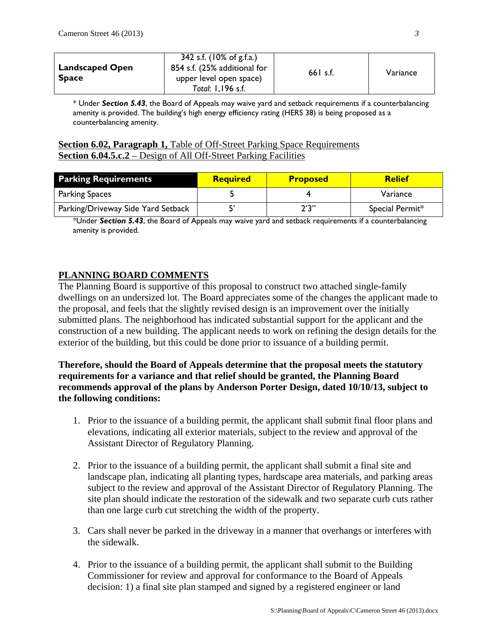| <b>Landscaped Open</b><br><b>Space</b> | 342 s.f. (10% of g.f.a.)<br>854 s.f. (25% additional for<br>upper level open space)<br>Total: 1,196 s.f. | $661$ s.f. | Variance |
|----------------------------------------|----------------------------------------------------------------------------------------------------------|------------|----------|
|----------------------------------------|----------------------------------------------------------------------------------------------------------|------------|----------|

\* Under *Section 5.43*, the Board of Appeals may waive yard and setback requirements if a counterbalancing amenity is provided. The building's high energy efficiency rating (HERS 38) is being proposed as a counterbalancing amenity.

#### **Section 6.02, Paragraph 1, Table of Off-Street Parking Space Requirements Section 6.04.5.c.2** – Design of All Off-Street Parking Facilities

| <b>Parking Requirements</b>        | <b>Required</b> | <b>Proposed</b> | <b>Relief</b>   |
|------------------------------------|-----------------|-----------------|-----------------|
| <b>Parking Spaces</b>              |                 |                 | Variance        |
| Parking/Driveway Side Yard Setback |                 | 2'3''           | Special Permit* |

\*Under *Section 5.43*, the Board of Appeals may waive yard and setback requirements if a counterbalancing amenity is provided.

## **PLANNING BOARD COMMENTS**

The Planning Board is supportive of this proposal to construct two attached single-family dwellings on an undersized lot. The Board appreciates some of the changes the applicant made to the proposal, and feels that the slightly revised design is an improvement over the initially submitted plans. The neighborhood has indicated substantial support for the applicant and the construction of a new building. The applicant needs to work on refining the design details for the exterior of the building, but this could be done prior to issuance of a building permit.

### **Therefore, should the Board of Appeals determine that the proposal meets the statutory requirements for a variance and that relief should be granted, the Planning Board recommends approval of the plans by Anderson Porter Design, dated 10/10/13, subject to the following conditions:**

- 1. Prior to the issuance of a building permit, the applicant shall submit final floor plans and elevations, indicating all exterior materials, subject to the review and approval of the Assistant Director of Regulatory Planning.
- 2. Prior to the issuance of a building permit, the applicant shall submit a final site and landscape plan, indicating all planting types, hardscape area materials, and parking areas subject to the review and approval of the Assistant Director of Regulatory Planning. The site plan should indicate the restoration of the sidewalk and two separate curb cuts rather than one large curb cut stretching the width of the property.
- 3. Cars shall never be parked in the driveway in a manner that overhangs or interferes with the sidewalk.
- 4. Prior to the issuance of a building permit, the applicant shall submit to the Building Commissioner for review and approval for conformance to the Board of Appeals decision: 1) a final site plan stamped and signed by a registered engineer or land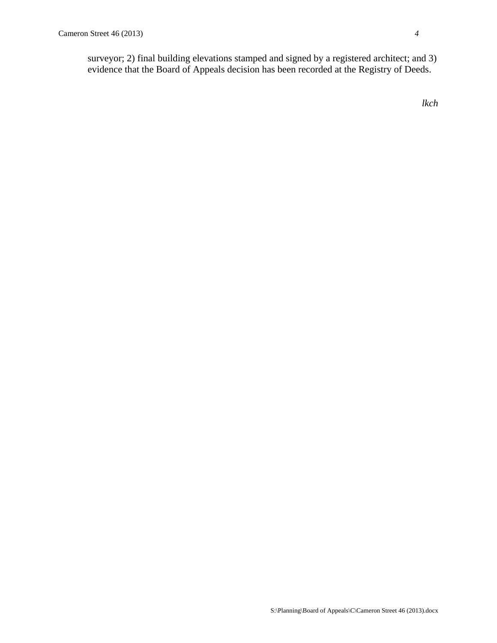surveyor; 2) final building elevations stamped and signed by a registered architect; and 3) evidence that the Board of Appeals decision has been recorded at the Registry of Deeds.

*lkch*